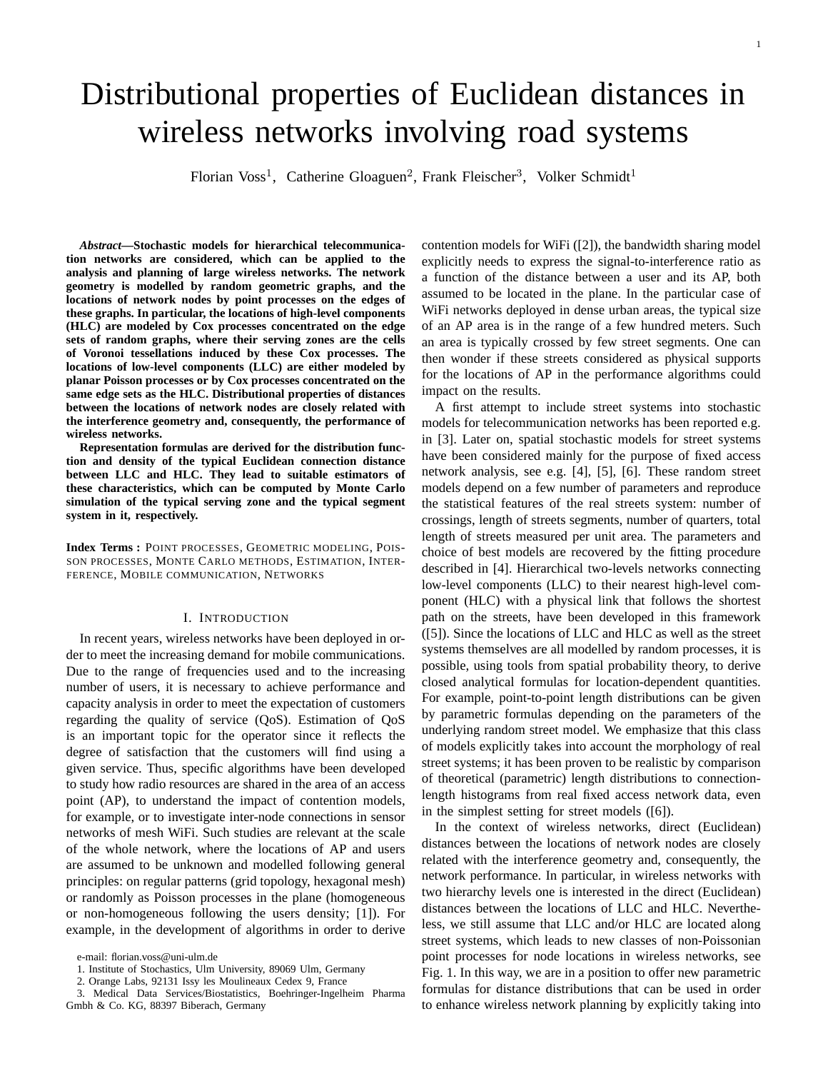# Distributional properties of Euclidean distances in wireless networks involving road systems

Florian Voss<sup>1</sup>, Catherine Gloaguen<sup>2</sup>, Frank Fleischer<sup>3</sup>, Volker Schmidt<sup>1</sup>

*Abstract***—Stochastic models for hierarchical telecommunication networks are considered, which can be applied to the analysis and planning of large wireless networks. The network geometry is modelled by random geometric graphs, and the locations of network nodes by point processes on the edges of these graphs. In particular, the locations of high-level components (HLC) are modeled by Cox processes concentrated on the edge sets of random graphs, where their serving zones are the cells of Voronoi tessellations induced by these Cox processes. The locations of low-level components (LLC) are either modeled by planar Poisson processes or by Cox processes concentrated on the same edge sets as the HLC. Distributional properties of distances between the locations of network nodes are closely related with the interference geometry and, consequently, the performance of wireless networks.**

**Representation formulas are derived for the distribution function and density of the typical Euclidean connection distance between LLC and HLC. They lead to suitable estimators of these characteristics, which can be computed by Monte Carlo simulation of the typical serving zone and the typical segment system in it, respectively.**

**Index Terms :** POINT PROCESSES, GEOMETRIC MODELING, POIS-SON PROCESSES, MONTE CARLO METHODS, ESTIMATION, INTER-FERENCE, MOBILE COMMUNICATION, NETWORKS

# I. INTRODUCTION

In recent years, wireless networks have been deployed in order to meet the increasing demand for mobile communications. Due to the range of frequencies used and to the increasing number of users, it is necessary to achieve performance and capacity analysis in order to meet the expectation of customers regarding the quality of service (QoS). Estimation of QoS is an important topic for the operator since it reflects the degree of satisfaction that the customers will find using a given service. Thus, specific algorithms have been developed to study how radio resources are shared in the area of an access point (AP), to understand the impact of contention models, for example, or to investigate inter-node connections in sensor networks of mesh WiFi. Such studies are relevant at the scale of the whole network, where the locations of AP and users are assumed to be unknown and modelled following general principles: on regular patterns (grid topology, hexagonal mesh) or randomly as Poisson processes in the plane (homogeneous or non-homogeneous following the users density; [1]). For example, in the development of algorithms in order to derive contention models for WiFi ([2]), the bandwidth sharing model explicitly needs to express the signal-to-interference ratio as a function of the distance between a user and its AP, both assumed to be located in the plane. In the particular case of WiFi networks deployed in dense urban areas, the typical size of an AP area is in the range of a few hundred meters. Such an area is typically crossed by few street segments. One can then wonder if these streets considered as physical supports for the locations of AP in the performance algorithms could impact on the results.

A first attempt to include street systems into stochastic models for telecommunication networks has been reported e.g. in [3]. Later on, spatial stochastic models for street systems have been considered mainly for the purpose of fixed access network analysis, see e.g. [4], [5], [6]. These random street models depend on a few number of parameters and reproduce the statistical features of the real streets system: number of crossings, length of streets segments, number of quarters, total length of streets measured per unit area. The parameters and choice of best models are recovered by the fitting procedure described in [4]. Hierarchical two-levels networks connecting low-level components (LLC) to their nearest high-level component (HLC) with a physical link that follows the shortest path on the streets, have been developed in this framework ([5]). Since the locations of LLC and HLC as well as the street systems themselves are all modelled by random processes, it is possible, using tools from spatial probability theory, to derive closed analytical formulas for location-dependent quantities. For example, point-to-point length distributions can be given by parametric formulas depending on the parameters of the underlying random street model. We emphasize that this class of models explicitly takes into account the morphology of real street systems; it has been proven to be realistic by comparison of theoretical (parametric) length distributions to connectionlength histograms from real fixed access network data, even in the simplest setting for street models ([6]).

In the context of wireless networks, direct (Euclidean) distances between the locations of network nodes are closely related with the interference geometry and, consequently, the network performance. In particular, in wireless networks with two hierarchy levels one is interested in the direct (Euclidean) distances between the locations of LLC and HLC. Nevertheless, we still assume that LLC and/or HLC are located along street systems, which leads to new classes of non-Poissonian point processes for node locations in wireless networks, see Fig. 1. In this way, we are in a position to offer new parametric formulas for distance distributions that can be used in order to enhance wireless network planning by explicitly taking into

e-mail: florian.voss@uni-ulm.de

<sup>1.</sup> Institute of Stochastics, Ulm University, 89069 Ulm, Germany

<sup>2.</sup> Orange Labs, 92131 Issy les Moulineaux Cedex 9, France

<sup>3.</sup> Medical Data Services/Biostatistics, Boehringer-Ingelheim Pharma Gmbh & Co. KG, 88397 Biberach, Germany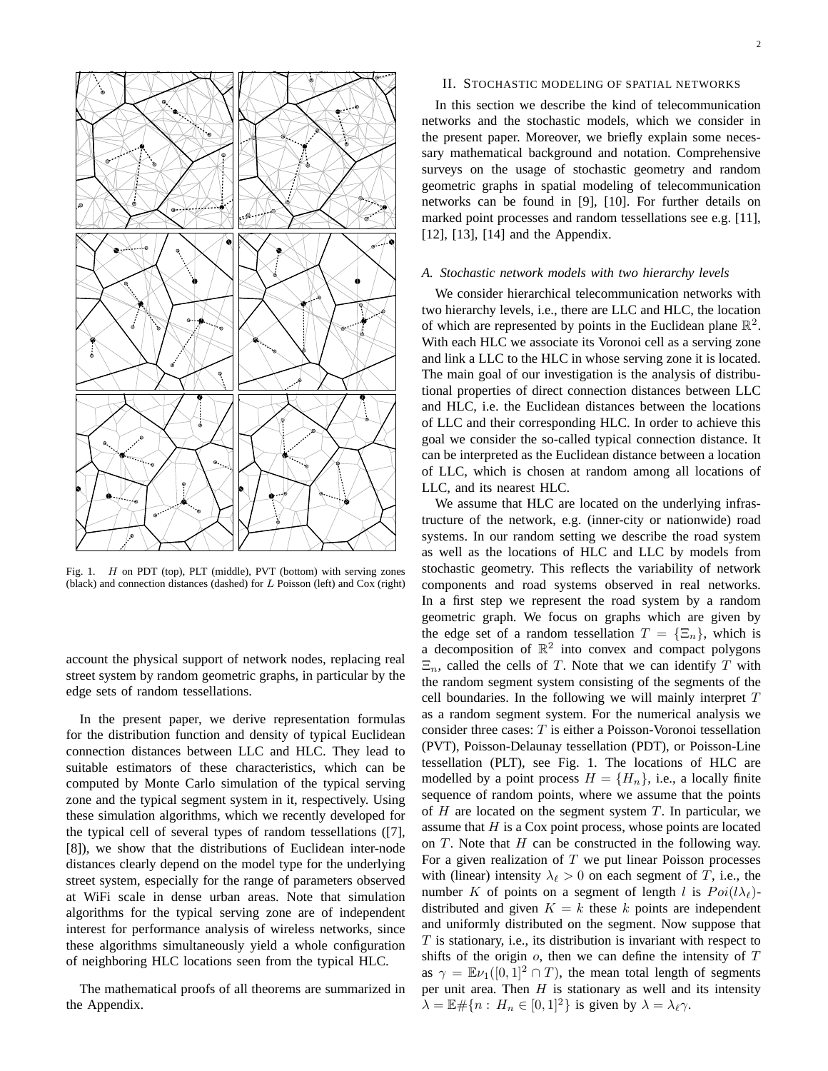

Fig. 1.  $H$  on PDT (top), PLT (middle), PVT (bottom) with serving zones (black) and connection distances (dashed) for L Poisson (left) and Cox (right)

account the physical support of network nodes, replacing real street system by random geometric graphs, in particular by the edge sets of random tessellations.

In the present paper, we derive representation formulas for the distribution function and density of typical Euclidean connection distances between LLC and HLC. They lead to suitable estimators of these characteristics, which can be computed by Monte Carlo simulation of the typical serving zone and the typical segment system in it, respectively. Using these simulation algorithms, which we recently developed for the typical cell of several types of random tessellations ([7], [8]), we show that the distributions of Euclidean inter-node distances clearly depend on the model type for the underlying street system, especially for the range of parameters observed at WiFi scale in dense urban areas. Note that simulation algorithms for the typical serving zone are of independent interest for performance analysis of wireless networks, since these algorithms simultaneously yield a whole configuration of neighboring HLC locations seen from the typical HLC.

The mathematical proofs of all theorems are summarized in the Appendix.

### II. STOCHASTIC MODELING OF SPATIAL NETWORKS

In this section we describe the kind of telecommunication networks and the stochastic models, which we consider in the present paper. Moreover, we briefly explain some necessary mathematical background and notation. Comprehensive surveys on the usage of stochastic geometry and random geometric graphs in spatial modeling of telecommunication networks can be found in [9], [10]. For further details on marked point processes and random tessellations see e.g. [11], [12], [13], [14] and the Appendix.

# *A. Stochastic network models with two hierarchy levels*

We consider hierarchical telecommunication networks with two hierarchy levels, i.e., there are LLC and HLC, the location of which are represented by points in the Euclidean plane  $\mathbb{R}^2$ . With each HLC we associate its Voronoi cell as a serving zone and link a LLC to the HLC in whose serving zone it is located. The main goal of our investigation is the analysis of distributional properties of direct connection distances between LLC and HLC, i.e. the Euclidean distances between the locations of LLC and their corresponding HLC. In order to achieve this goal we consider the so-called typical connection distance. It can be interpreted as the Euclidean distance between a location of LLC, which is chosen at random among all locations of LLC, and its nearest HLC.

We assume that HLC are located on the underlying infrastructure of the network, e.g. (inner-city or nationwide) road systems. In our random setting we describe the road system as well as the locations of HLC and LLC by models from stochastic geometry. This reflects the variability of network components and road systems observed in real networks. In a first step we represent the road system by a random geometric graph. We focus on graphs which are given by the edge set of a random tessellation  $T = {\{\Xi_n\}}$ , which is a decomposition of  $\mathbb{R}^2$  into convex and compact polygons  $\Xi_n$ , called the cells of T. Note that we can identify T with the random segment system consisting of the segments of the cell boundaries. In the following we will mainly interpret  $T$ as a random segment system. For the numerical analysis we consider three cases:  $T$  is either a Poisson-Voronoi tessellation (PVT), Poisson-Delaunay tessellation (PDT), or Poisson-Line tessellation (PLT), see Fig. 1. The locations of HLC are modelled by a point process  $H = \{H_n\}$ , i.e., a locally finite sequence of random points, where we assume that the points of  $H$  are located on the segment system  $T$ . In particular, we assume that  $H$  is a Cox point process, whose points are located on  $T$ . Note that  $H$  can be constructed in the following way. For a given realization of  $T$  we put linear Poisson processes with (linear) intensity  $\lambda_{\ell} > 0$  on each segment of T, i.e., the number K of points on a segment of length l is  $Poi(l\lambda_\ell)$ distributed and given  $K = k$  these k points are independent and uniformly distributed on the segment. Now suppose that  $T$  is stationary, i.e., its distribution is invariant with respect to shifts of the origin  $\varphi$ , then we can define the intensity of  $T$ as  $\gamma = \mathbb{E}\nu_1([0,1]^2 \cap T)$ , the mean total length of segments per unit area. Then  $H$  is stationary as well and its intensity  $\lambda = \mathbb{E} \# \{n : H_n \in [0,1]^2\}$  is given by  $\lambda = \lambda_\ell \gamma$ .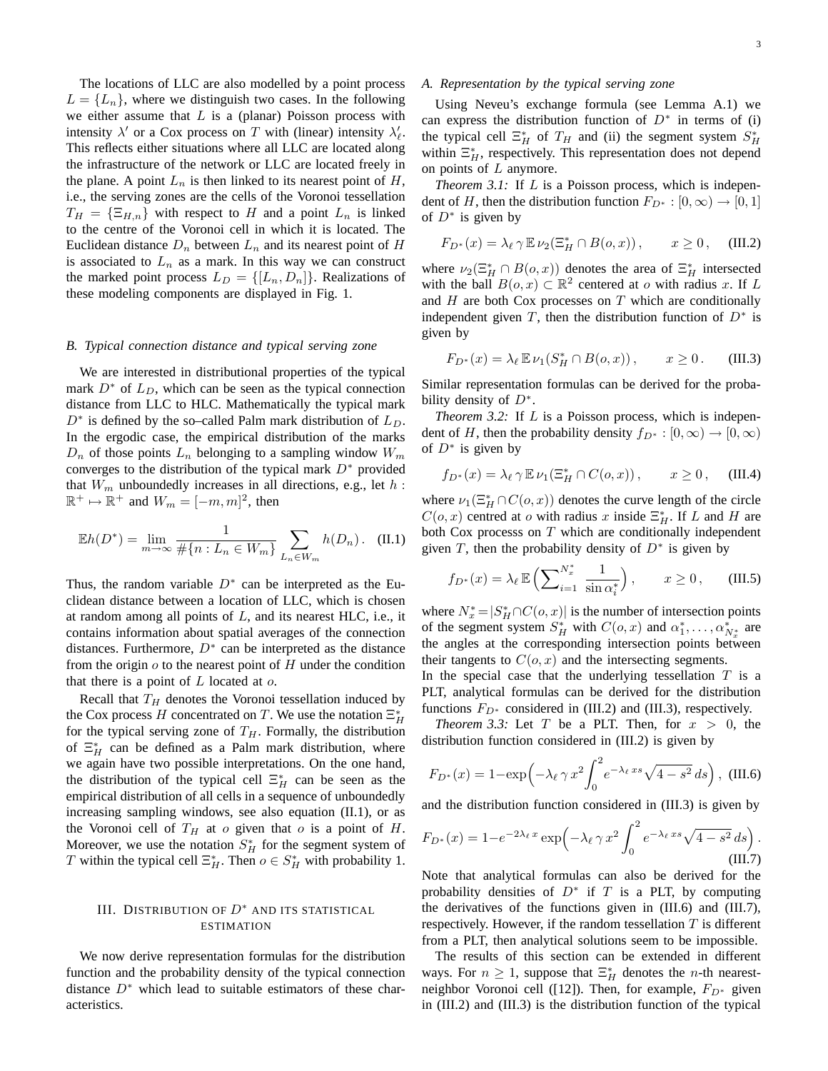The locations of LLC are also modelled by a point process  $L = \{L_n\}$ , where we distinguish two cases. In the following we either assume that  $L$  is a (planar) Poisson process with intensity  $\lambda'$  or a Cox process on T with (linear) intensity  $\lambda'_{\ell}$ . This reflects either situations where all LLC are located along the infrastructure of the network or LLC are located freely in the plane. A point  $L_n$  is then linked to its nearest point of H, i.e., the serving zones are the cells of the Voronoi tessellation  $T_H = \{\Xi_{H,n}\}\$  with respect to H and a point  $L_n$  is linked to the centre of the Voronoi cell in which it is located. The Euclidean distance  $D_n$  between  $L_n$  and its nearest point of H is associated to  $L_n$  as a mark. In this way we can construct the marked point process  $L_D = \{[L_n, D_n]\}\.$  Realizations of these modeling components are displayed in Fig. 1.

#### *B. Typical connection distance and typical serving zone*

We are interested in distributional properties of the typical mark  $D^*$  of  $L_D$ , which can be seen as the typical connection distance from LLC to HLC. Mathematically the typical mark  $D^*$  is defined by the so–called Palm mark distribution of  $L_D$ . In the ergodic case, the empirical distribution of the marks  $D_n$  of those points  $L_n$  belonging to a sampling window  $W_m$ converges to the distribution of the typical mark  $D^*$  provided that  $W_m$  unboundedly increases in all directions, e.g., let  $h$ :  $\mathbb{R}^+ \mapsto \mathbb{R}^+$  and  $W_m = [-m, m]^2$ , then

$$
\mathbb{E}h(D^*) = \lim_{m \to \infty} \frac{1}{\#\{n : L_n \in W_m\}} \sum_{L_n \in W_m} h(D_n). \quad (II.1)
$$

Thus, the random variable  $D^*$  can be interpreted as the Euclidean distance between a location of LLC, which is chosen at random among all points of  $L$ , and its nearest HLC, i.e., it contains information about spatial averages of the connection distances. Furthermore,  $D^*$  can be interpreted as the distance from the origin  $\sigma$  to the nearest point of  $H$  under the condition that there is a point of  $L$  located at  $o$ .

Recall that  $T_H$  denotes the Voronoi tessellation induced by the Cox process H concentrated on T. We use the notation  $\Xi_H^*$ for the typical serving zone of  $T_H$ . Formally, the distribution of  $\Xi_H^*$  can be defined as a Palm mark distribution, where we again have two possible interpretations. On the one hand, the distribution of the typical cell  $\Xi_H^*$  can be seen as the empirical distribution of all cells in a sequence of unboundedly increasing sampling windows, see also equation (II.1), or as the Voronoi cell of  $T_H$  at  $o$  given that  $o$  is a point of  $H$ . Moreover, we use the notation  $S_H^*$  for the segment system of T within the typical cell  $\Xi_H^*$ . Then  $o \in S_H^*$  with probability 1.

# III. DISTRIBUTION OF  $D^*$  and its statistical **ESTIMATION**

We now derive representation formulas for the distribution function and the probability density of the typical connection distance  $D^*$  which lead to suitable estimators of these characteristics.

## *A. Representation by the typical serving zone*

Using Neveu's exchange formula (see Lemma A.1) we can express the distribution function of  $D^*$  in terms of (i) the typical cell  $\Xi_H^*$  of  $T_H$  and (ii) the segment system  $S_H^*$ within  $\Xi_H^*$ , respectively. This representation does not depend on points of  $L$  anymore.

*Theorem 3.1:* If L is a Poisson process, which is independent of H, then the distribution function  $F_{D^*}: [0, \infty) \to [0, 1]$ of  $D^*$  is given by

$$
F_{D^*}(x) = \lambda_{\ell} \gamma \mathbb{E} \nu_2(\Xi_H^* \cap B(o, x)), \qquad x \ge 0, \quad \text{(III.2)}
$$

where  $\nu_2(\Xi_H^* \cap B(o, x))$  denotes the area of  $\Xi_H^*$  intersected with the ball  $B(o, x) \subset \mathbb{R}^2$  centered at o with radius x. If L and  $H$  are both Cox processes on  $T$  which are conditionally independent given T, then the distribution function of  $D^*$  is given by

$$
F_{D^*}(x) = \lambda_\ell \mathbb{E} \nu_1(S_H^* \cap B(o, x)), \qquad x \ge 0. \tag{III.3}
$$

Similar representation formulas can be derived for the probability density of  $D^*$ .

*Theorem 3.2:* If L is a Poisson process, which is independent of H, then the probability density  $f_{D^*} : [0, \infty) \to [0, \infty)$ of  $D^*$  is given by

$$
f_{D^*}(x) = \lambda_\ell \,\gamma \,\mathbb{E}\,\nu_1(\Xi_H^* \cap C(o, x)), \qquad x \ge 0\,, \quad \text{(III.4)}
$$

where  $\nu_1(\Xi_H^* \cap C(o, x))$  denotes the curve length of the circle  $C(o, x)$  centred at o with radius x inside  $\Xi_H^*$ . If L and H are both Cox processs on  $T$  which are conditionally independent given T, then the probability density of  $D^*$  is given by

$$
f_{D^*}(x) = \lambda_{\ell} \mathbb{E}\left(\sum_{i=1}^{N_x^*} \frac{1}{\sin \alpha_i^*}\right), \qquad x \ge 0, \qquad \text{(III.5)}
$$

where  $N_x^* = |S_H^* \cap C(o, x)|$  is the number of intersection points of the segment system  $S_H^*$  with  $C(o, x)$  and  $\alpha_1^*, \dots, \alpha_{N_x^*}^*$  are the angles at the corresponding intersection points between their tangents to  $C(o, x)$  and the intersecting segments.

In the special case that the underlying tessellation  $T$  is a PLT, analytical formulas can be derived for the distribution functions  $F_{D^*}$  considered in (III.2) and (III.3), respectively.

*Theorem 3.3:* Let T be a PLT. Then, for  $x > 0$ , the distribution function considered in (III.2) is given by

$$
F_{D^*}(x) = 1 - \exp\left(-\lambda_\ell \gamma x^2 \int_0^2 e^{-\lambda_\ell xs} \sqrt{4 - s^2} ds\right), \text{ (III.6)}
$$

and the distribution function considered in (III.3) is given by

$$
F_{D^*}(x) = 1 - e^{-2\lambda_{\ell} x} \exp\left(-\lambda_{\ell} \gamma x^2 \int_0^2 e^{-\lambda_{\ell} xs} \sqrt{4 - s^2} ds\right).
$$
\n(III.7)

Note that analytical formulas can also be derived for the probability densities of  $D^*$  if T is a PLT, by computing the derivatives of the functions given in (III.6) and (III.7), respectively. However, if the random tessellation  $T$  is different from a PLT, then analytical solutions seem to be impossible.

The results of this section can be extended in different ways. For  $n \geq 1$ , suppose that  $\Xi_H^*$  denotes the *n*-th nearestneighbor Voronoi cell ([12]). Then, for example,  $F_{D^*}$  given in (III.2) and (III.3) is the distribution function of the typical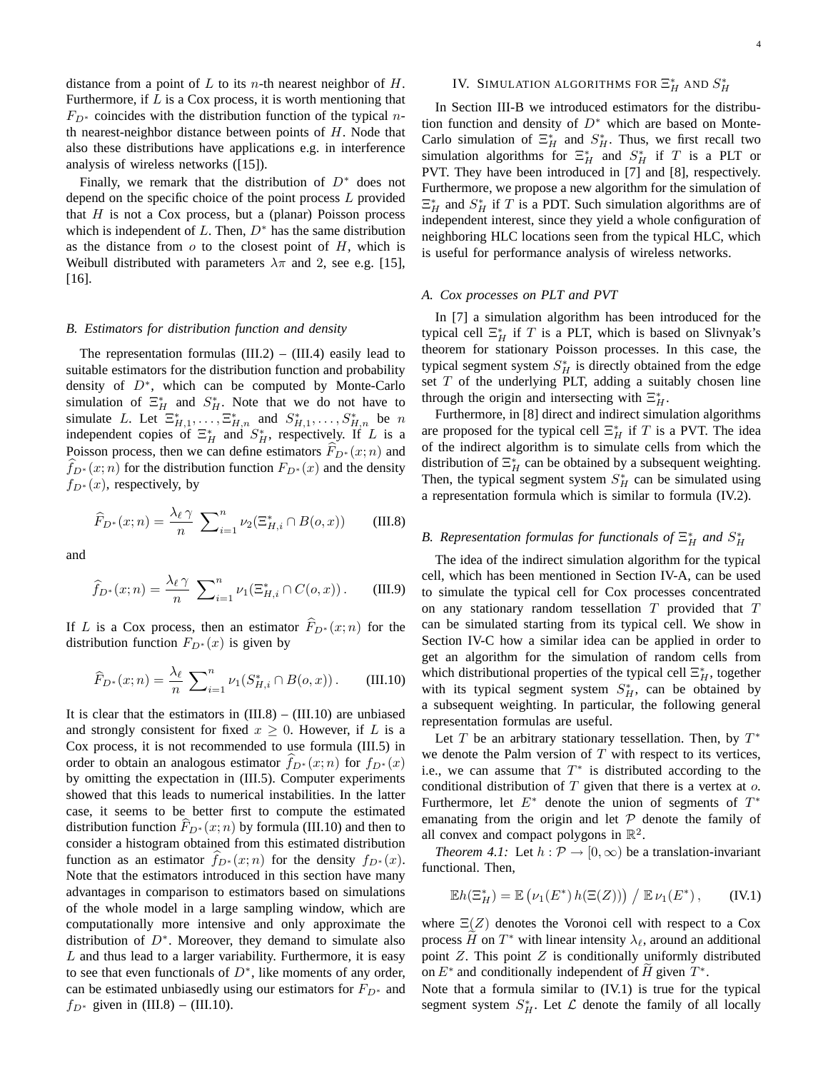distance from a point of L to its *n*-th nearest neighbor of H. Furthermore, if  $L$  is a Cox process, it is worth mentioning that  $F_{D^*}$  coincides with the distribution function of the typical nth nearest-neighbor distance between points of  $H$ . Node that also these distributions have applications e.g. in interference analysis of wireless networks ([15]).

Finally, we remark that the distribution of  $D^*$  does not depend on the specific choice of the point process  $L$  provided that  $H$  is not a Cox process, but a (planar) Poisson process which is independent of  $L$ . Then,  $D^*$  has the same distribution as the distance from  $o$  to the closest point of  $H$ , which is Weibull distributed with parameters  $\lambda \pi$  and 2, see e.g. [15], [16].

# *B. Estimators for distribution function and density*

The representation formulas  $(III.2) - (III.4)$  easily lead to suitable estimators for the distribution function and probability density of  $D^*$ , which can be computed by Monte-Carlo simulation of  $\Xi_H^*$  and  $S_H^*$ . Note that we do not have to simulate L. Let  $\Xi_{H,1}^*, \ldots, \Xi_{H,n}^*$  and  $S_{H,1}^*, \ldots, S_{H,n}^*$  be n independent copies of  $\Xi_H^*$  and  $S_H^*$ , respectively. If L is a Poisson process, then we can define estimators  $F_{D*}(x; n)$  and  $f_{D^*}(x; n)$  for the distribution function  $F_{D^*}(x)$  and the density  $f_{D^*}(x)$ , respectively, by

$$
\widehat{F}_{D^*}(x;n) = \frac{\lambda_\ell \,\gamma}{n} \sum_{i=1}^n \nu_2(\Xi_{H,i}^* \cap B(o,x)) \qquad \text{(III.8)}
$$

and

$$
\widehat{f}_{D^*}(x;n) = \frac{\lambda_\ell \gamma}{n} \sum_{i=1}^n \nu_1(\Xi_{H,i}^* \cap C(o,x)). \quad (\text{III.9})
$$

If L is a Cox process, then an estimator  $\widehat{F}_{D*}(x; n)$  for the distribution function  $F_{D^*}(x)$  is given by

$$
\widehat{F}_{D^*}(x;n) = \frac{\lambda_{\ell}}{n} \sum_{i=1}^n \nu_1(S_{H,i}^* \cap B(o,x)).
$$
 (III.10)

It is clear that the estimators in  $(III.8) - (III.10)$  are unbiased and strongly consistent for fixed  $x \geq 0$ . However, if L is a Cox process, it is not recommended to use formula (III.5) in order to obtain an analogous estimator  $f_{D^*}(x; n)$  for  $f_{D^*}(x)$ by omitting the expectation in (III.5). Computer experiments showed that this leads to numerical instabilities. In the latter case, it seems to be better first to compute the estimated distribution function  $F_{D*}(x; n)$  by formula (III.10) and then to consider a histogram obtained from this estimated distribution function as an estimator  $f_{D*}(x; n)$  for the density  $f_{D*}(x)$ . Note that the estimators introduced in this section have many advantages in comparison to estimators based on simulations of the whole model in a large sampling window, which are computationally more intensive and only approximate the distribution of  $D^*$ . Moreover, they demand to simulate also  $L$  and thus lead to a larger variability. Furthermore, it is easy to see that even functionals of  $D^*$ , like moments of any order, can be estimated unbiasedly using our estimators for  $F_{D^*}$  and  $f_{D^*}$  given in (III.8) – (III.10).

# IV. SIMULATION ALGORITHMS FOR  $\Xi_H^*$  and  $S_H^*$

In Section III-B we introduced estimators for the distribution function and density of  $D^*$  which are based on Monte-Carlo simulation of  $\Xi_H^*$  and  $S_H^*$ . Thus, we first recall two simulation algorithms for  $\Xi_H^*$  and  $S_H^*$  if T is a PLT or PVT. They have been introduced in [7] and [8], respectively. Furthermore, we propose a new algorithm for the simulation of  $\Xi_H^*$  and  $S_H^*$  if T is a PDT. Such simulation algorithms are of independent interest, since they yield a whole configuration of neighboring HLC locations seen from the typical HLC, which is useful for performance analysis of wireless networks.

# *A. Cox processes on PLT and PVT*

In [7] a simulation algorithm has been introduced for the typical cell  $\Xi_H^*$  if T is a PLT, which is based on Slivnyak's theorem for stationary Poisson processes. In this case, the typical segment system  $S_H^*$  is directly obtained from the edge set  $T$  of the underlying PLT, adding a suitably chosen line through the origin and intersecting with  $\Xi_H^*$ .

Furthermore, in [8] direct and indirect simulation algorithms are proposed for the typical cell  $\Xi_H^*$  if T is a PVT. The idea of the indirect algorithm is to simulate cells from which the distribution of  $\Xi_H^*$  can be obtained by a subsequent weighting. Then, the typical segment system  $S_H^*$  can be simulated using a representation formula which is similar to formula (IV.2).

# *B.* Representation formulas for functionals of  $\Xi_H^*$  and  $S_H^*$

The idea of the indirect simulation algorithm for the typical cell, which has been mentioned in Section IV-A, can be used to simulate the typical cell for Cox processes concentrated on any stationary random tessellation  $T$  provided that  $T$ can be simulated starting from its typical cell. We show in Section IV-C how a similar idea can be applied in order to get an algorithm for the simulation of random cells from which distributional properties of the typical cell  $\Xi_H^*$ , together with its typical segment system  $S_H^*$ , can be obtained by a subsequent weighting. In particular, the following general representation formulas are useful.

Let  $T$  be an arbitrary stationary tessellation. Then, by  $T^*$ we denote the Palm version of  $T$  with respect to its vertices, i.e., we can assume that  $T^*$  is distributed according to the conditional distribution of  $T$  given that there is a vertex at  $o$ . Furthermore, let  $E^*$  denote the union of segments of  $T^*$ emanating from the origin and let  $P$  denote the family of all convex and compact polygons in  $\mathbb{R}^2$ .

*Theorem 4.1:* Let  $h : \mathcal{P} \to [0, \infty)$  be a translation-invariant functional. Then,

$$
\mathbb{E}h(\Xi_H^*) = \mathbb{E}\left(\nu_1(E^*)\,h(\Xi(Z))\right) / \mathbb{E}\,\nu_1(E^*)\,,\qquad\text{(IV.1)}
$$

where  $\Xi(Z)$  denotes the Voronoi cell with respect to a Cox process  $\widetilde{H}$  on  $T^*$  with linear intensity  $\lambda_{\ell}$ , around an additional point  $Z$ . This point  $Z$  is conditionally uniformly distributed on  $E^*$  and conditionally independent of  $\widetilde{H}$  given  $T^*$ .

Note that a formula similar to (IV.1) is true for the typical segment system  $S_H^*$ . Let  $\mathcal L$  denote the family of all locally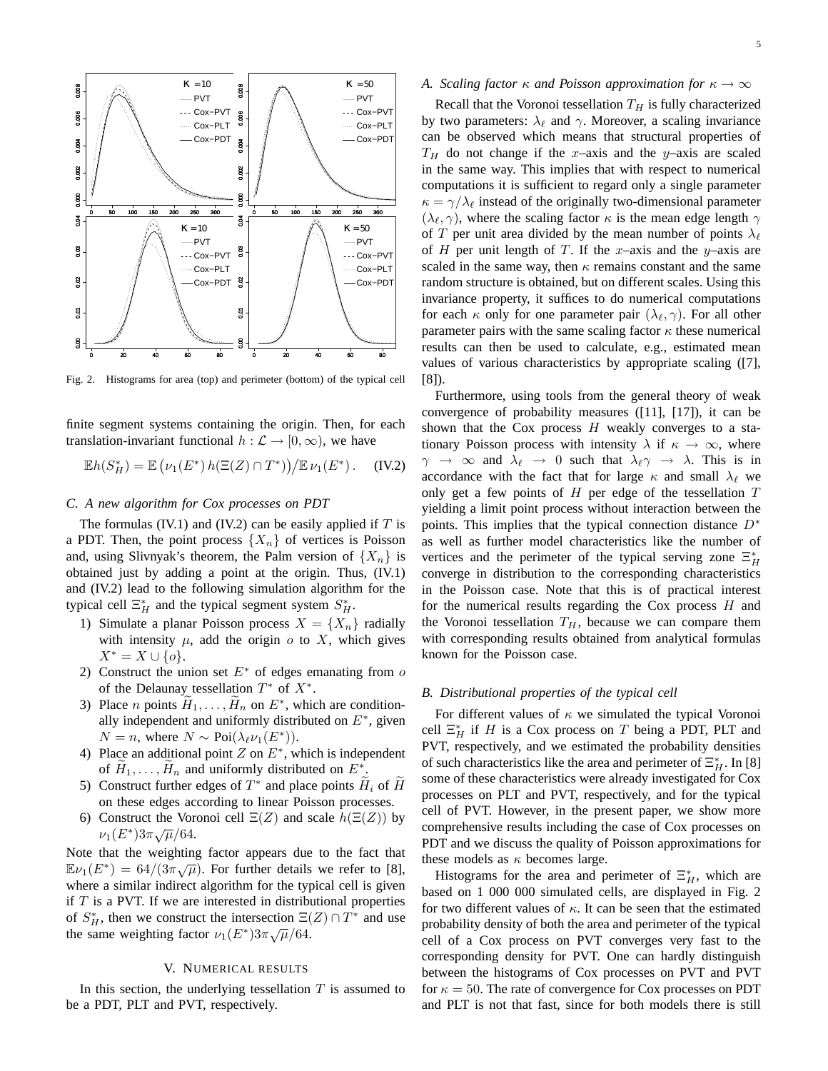

Fig. 2. Histograms for area (top) and perimeter (bottom) of the typical cell

finite segment systems containing the origin. Then, for each translation-invariant functional  $h : \mathcal{L} \to [0, \infty)$ , we have

$$
\mathbb{E}h(S_H^*) = \mathbb{E}\left(\nu_1(E^*)h(\Xi(Z)\cap T^*)\right)/\mathbb{E}\,\nu_1(E^*)\,.
$$
 (IV.2)

# *C. A new algorithm for Cox processes on PDT*

The formulas (IV.1) and (IV.2) can be easily applied if  $T$  is a PDT. Then, the point process  $\{X_n\}$  of vertices is Poisson and, using Slivnyak's theorem, the Palm version of  $\{X_n\}$  is obtained just by adding a point at the origin. Thus, (IV.1) and (IV.2) lead to the following simulation algorithm for the typical cell  $\Xi_H^*$  and the typical segment system  $S_H^*$ .

- 1) Simulate a planar Poisson process  $X = \{X_n\}$  radially with intensity  $\mu$ , add the origin  $\sigma$  to  $X$ , which gives  $X^* = X \cup \{o\}.$
- 2) Construct the union set  $E^*$  of edges emanating from  $o$ of the Delaunay tessellation  $T^*$  of  $X^*$ .
- 3) Place *n* points  $\widetilde{H}_1, \ldots, \widetilde{H}_n$  on  $E^*$ , which are conditionally independent and uniformly distributed on  $E^*$ , given  $N = n$ , where  $N \sim \text{Poi}(\lambda_{\ell} \nu_1(E^*))$ .
- 4) Place an additional point  $Z$  on  $E^*$ , which is independent of  $\widetilde{H}_1, \ldots, \widetilde{H}_n$  and uniformly distributed on  $E^*$ .
- 5) Construct further edges of  $T^*$  and place points  $\widetilde{H}_i$  of  $\widetilde{H}$ on these edges according to linear Poisson processes.
- 6) Construct the Voronoi cell  $\Xi(Z)$  and scale  $h(\Xi(Z))$  by  $\nu_1(E^*) 3\pi \sqrt{\mu}/64.$

Note that the weighting factor appears due to the fact that  $\mathbb{E}\nu_1(E^*) = 64/(3\pi\sqrt{\mu})$ . For further details we refer to [8], where a similar indirect algorithm for the typical cell is given if  $T$  is a PVT. If we are interested in distributional properties of  $S_H^*$ , then we construct the intersection  $\Xi(Z) \cap T^*$  and use the same weighting factor  $\nu_1(E^*)$  $3\pi\sqrt{\mu}/64$ .

# V. NUMERICAL RESULTS

In this section, the underlying tessellation  $T$  is assumed to be a PDT, PLT and PVT, respectively.

### *A. Scaling factor*  $\kappa$  *and Poisson approximation for*  $\kappa \to \infty$

Recall that the Voronoi tessellation  $T_H$  is fully characterized by two parameters:  $\lambda_{\ell}$  and  $\gamma$ . Moreover, a scaling invariance can be observed which means that structural properties of  $T_H$  do not change if the x-axis and the y-axis are scaled in the same way. This implies that with respect to numerical computations it is sufficient to regard only a single parameter  $\kappa = \gamma/\lambda_{\ell}$  instead of the originally two-dimensional parameter  $(\lambda_{\ell}, \gamma)$ , where the scaling factor  $\kappa$  is the mean edge length  $\gamma$ of T per unit area divided by the mean number of points  $\lambda_{\ell}$ of H per unit length of T. If the x-axis and the y-axis are scaled in the same way, then  $\kappa$  remains constant and the same random structure is obtained, but on different scales. Using this invariance property, it suffices to do numerical computations for each  $\kappa$  only for one parameter pair  $(\lambda_{\ell}, \gamma)$ . For all other parameter pairs with the same scaling factor  $\kappa$  these numerical results can then be used to calculate, e.g., estimated mean values of various characteristics by appropriate scaling ([7], [8]).

Furthermore, using tools from the general theory of weak convergence of probability measures ([11], [17]), it can be shown that the Cox process  $H$  weakly converges to a stationary Poisson process with intensity  $\lambda$  if  $\kappa \to \infty$ , where  $\gamma \rightarrow \infty$  and  $\lambda_{\ell} \rightarrow 0$  such that  $\lambda_{\ell} \gamma \rightarrow \lambda$ . This is in accordance with the fact that for large  $\kappa$  and small  $\lambda_\ell$  we only get a few points of  $H$  per edge of the tessellation  $T$ yielding a limit point process without interaction between the points. This implies that the typical connection distance  $D^*$ as well as further model characteristics like the number of vertices and the perimeter of the typical serving zone  $\Xi_H^*$ converge in distribution to the corresponding characteristics in the Poisson case. Note that this is of practical interest for the numerical results regarding the Cox process H and the Voronoi tessellation  $T_H$ , because we can compare them with corresponding results obtained from analytical formulas known for the Poisson case.

# *B. Distributional properties of the typical cell*

For different values of  $\kappa$  we simulated the typical Voronoi cell  $\Xi_H^*$  if H is a Cox process on T being a PDT, PLT and PVT, respectively, and we estimated the probability densities of such characteristics like the area and perimeter of  $\Xi_H^*$ . In [8] some of these characteristics were already investigated for Cox processes on PLT and PVT, respectively, and for the typical cell of PVT. However, in the present paper, we show more comprehensive results including the case of Cox processes on PDT and we discuss the quality of Poisson approximations for these models as  $\kappa$  becomes large.

Histograms for the area and perimeter of  $\Xi_H^*$ , which are based on 1 000 000 simulated cells, are displayed in Fig. 2 for two different values of  $\kappa$ . It can be seen that the estimated probability density of both the area and perimeter of the typical cell of a Cox process on PVT converges very fast to the corresponding density for PVT. One can hardly distinguish between the histograms of Cox processes on PVT and PVT for  $\kappa = 50$ . The rate of convergence for Cox processes on PDT and PLT is not that fast, since for both models there is still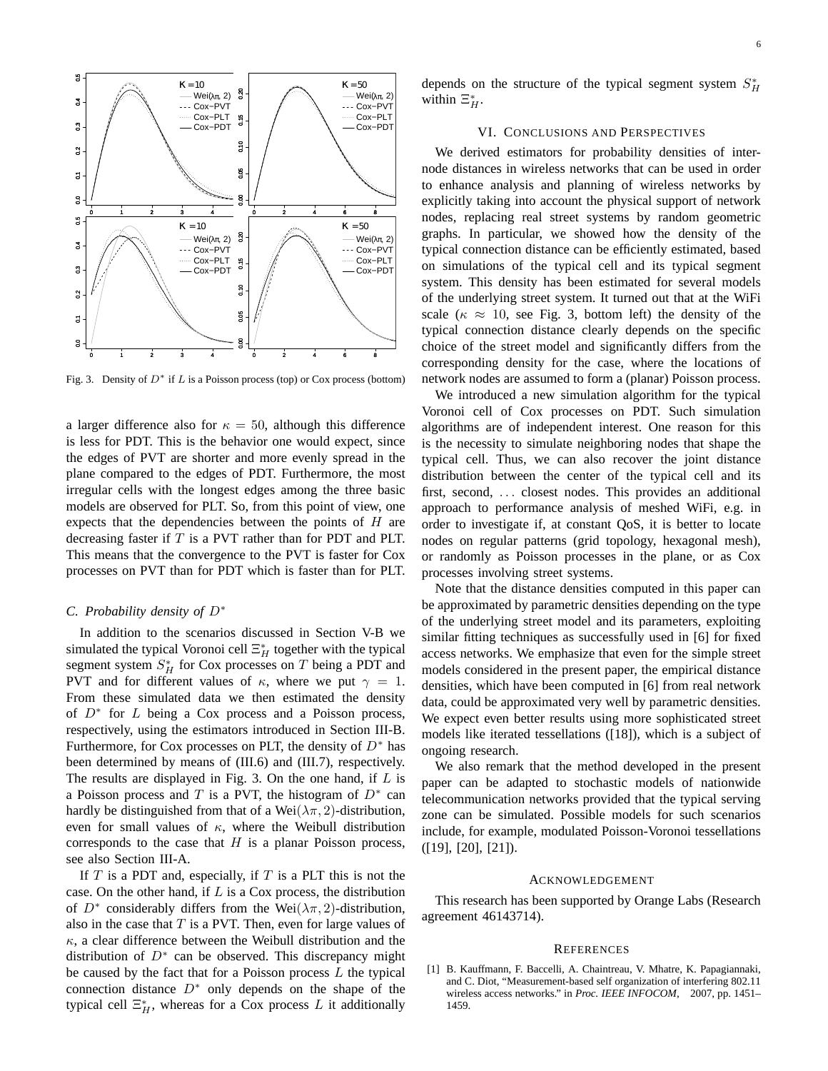

Fig. 3. Density of  $D^*$  if L is a Poisson process (top) or Cox process (bottom)

a larger difference also for  $\kappa = 50$ , although this difference is less for PDT. This is the behavior one would expect, since the edges of PVT are shorter and more evenly spread in the plane compared to the edges of PDT. Furthermore, the most irregular cells with the longest edges among the three basic models are observed for PLT. So, from this point of view, one expects that the dependencies between the points of  $H$  are decreasing faster if  $T$  is a PVT rather than for PDT and PLT. This means that the convergence to the PVT is faster for Cox processes on PVT than for PDT which is faster than for PLT.

# *C. Probability density of* D<sup>∗</sup>

In addition to the scenarios discussed in Section V-B we simulated the typical Voronoi cell  $\Xi_H^*$  together with the typical segment system  $S_H^*$  for Cox processes on T being a PDT and PVT and for different values of  $\kappa$ , where we put  $\gamma = 1$ . From these simulated data we then estimated the density of  $D^*$  for  $L$  being a Cox process and a Poisson process, respectively, using the estimators introduced in Section III-B. Furthermore, for Cox processes on PLT, the density of  $D^*$  has been determined by means of (III.6) and (III.7), respectively. The results are displayed in Fig. 3. On the one hand, if  $L$  is a Poisson process and T is a PVT, the histogram of  $D^*$  can hardly be distinguished from that of a Wei $(\lambda \pi, 2)$ -distribution, even for small values of  $\kappa$ , where the Weibull distribution corresponds to the case that  $H$  is a planar Poisson process, see also Section III-A.

If  $T$  is a PDT and, especially, if  $T$  is a PLT this is not the case. On the other hand, if  $L$  is a Cox process, the distribution of  $D^*$  considerably differs from the Wei $(\lambda \pi, 2)$ -distribution, also in the case that  $T$  is a PVT. Then, even for large values of  $\kappa$ , a clear difference between the Weibull distribution and the distribution of  $D^*$  can be observed. This discrepancy might be caused by the fact that for a Poisson process  $L$  the typical connection distance  $D^*$  only depends on the shape of the typical cell  $\Xi_H^*$ , whereas for a Cox process L it additionally

depends on the structure of the typical segment system  $S_H^*$ within  $\Xi_H^*$ .

# VI. CONCLUSIONS AND PERSPECTIVES

We derived estimators for probability densities of internode distances in wireless networks that can be used in order to enhance analysis and planning of wireless networks by explicitly taking into account the physical support of network nodes, replacing real street systems by random geometric graphs. In particular, we showed how the density of the typical connection distance can be efficiently estimated, based on simulations of the typical cell and its typical segment system. This density has been estimated for several models of the underlying street system. It turned out that at the WiFi scale ( $\kappa \approx 10$ , see Fig. 3, bottom left) the density of the typical connection distance clearly depends on the specific choice of the street model and significantly differs from the corresponding density for the case, where the locations of network nodes are assumed to form a (planar) Poisson process.

We introduced a new simulation algorithm for the typical Voronoi cell of Cox processes on PDT. Such simulation algorithms are of independent interest. One reason for this is the necessity to simulate neighboring nodes that shape the typical cell. Thus, we can also recover the joint distance distribution between the center of the typical cell and its first, second, ... closest nodes. This provides an additional approach to performance analysis of meshed WiFi, e.g. in order to investigate if, at constant QoS, it is better to locate nodes on regular patterns (grid topology, hexagonal mesh), or randomly as Poisson processes in the plane, or as Cox processes involving street systems.

Note that the distance densities computed in this paper can be approximated by parametric densities depending on the type of the underlying street model and its parameters, exploiting similar fitting techniques as successfully used in [6] for fixed access networks. We emphasize that even for the simple street models considered in the present paper, the empirical distance densities, which have been computed in [6] from real network data, could be approximated very well by parametric densities. We expect even better results using more sophisticated street models like iterated tessellations ([18]), which is a subject of ongoing research.

We also remark that the method developed in the present paper can be adapted to stochastic models of nationwide telecommunication networks provided that the typical serving zone can be simulated. Possible models for such scenarios include, for example, modulated Poisson-Voronoi tessellations ([19], [20], [21]).

#### ACKNOWLEDGEMENT

This research has been supported by Orange Labs (Research agreement 46143714).

#### **REFERENCES**

[1] B. Kauffmann, F. Baccelli, A. Chaintreau, V. Mhatre, K. Papagiannaki, and C. Diot, "Measurement-based self organization of interfering 802.11 wireless access networks." in *Proc. IEEE INFOCOM*, 2007, pp. 1451– 1459.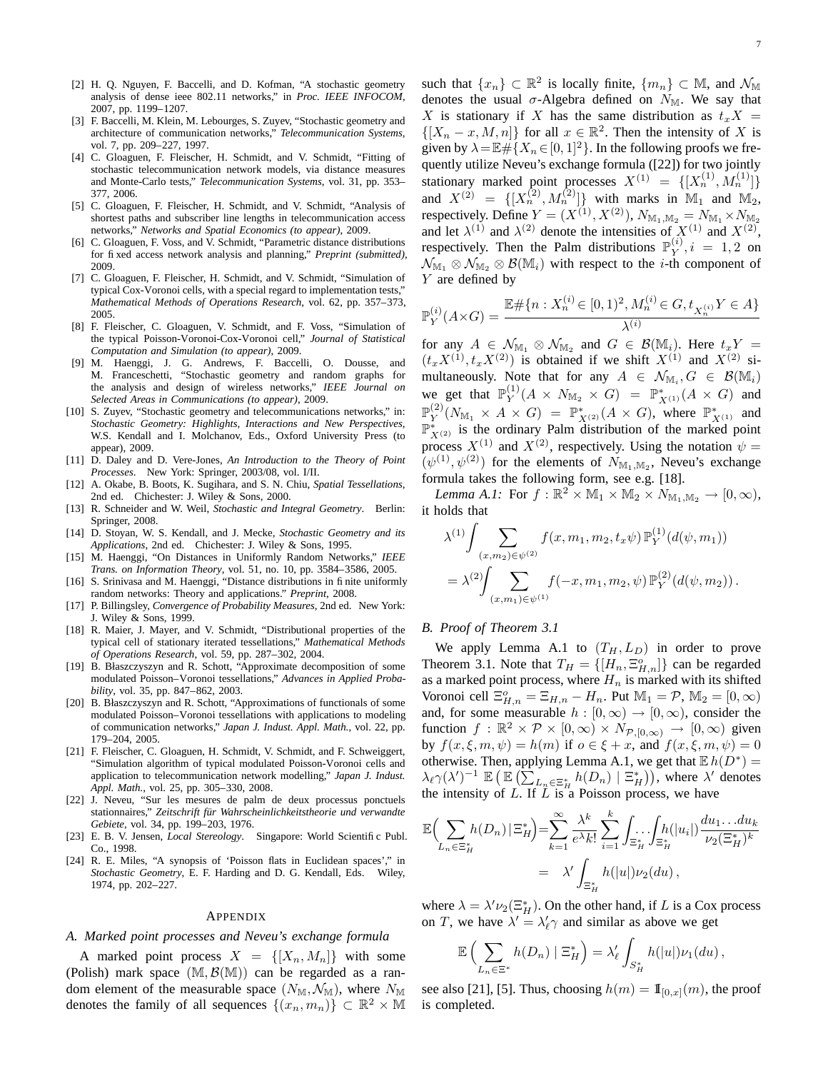- [2] H. Q. Nguyen, F. Baccelli, and D. Kofman, "A stochastic geometry analysis of dense ieee 802.11 networks," in *Proc. IEEE INFOCOM*, 2007, pp. 1199–1207.
- [3] F. Baccelli, M. Klein, M. Lebourges, S. Zuyev, "Stochastic geometry and architecture of communication networks," *Telecommunication Systems*, vol. 7, pp. 209–227, 1997.
- [4] C. Gloaguen, F. Fleischer, H. Schmidt, and V. Schmidt, "Fitting of stochastic telecommunication network models, via distance measures and Monte-Carlo tests," *Telecommunication Systems*, vol. 31, pp. 353– 377, 2006.
- [5] C. Gloaguen, F. Fleischer, H. Schmidt, and V. Schmidt, "Analysis of shortest paths and subscriber line lengths in telecommunication access networks," *Networks and Spatial Economics (to appear)*, 2009.
- [6] C. Gloaguen, F. Voss, and V. Schmidt, "Parametric distance distributions for fixed access network analysis and planning," *Preprint (submitted)*, 2009.
- [7] C. Gloaguen, F. Fleischer, H. Schmidt, and V. Schmidt, "Simulation of typical Cox-Voronoi cells, with a special regard to implementation tests," *Mathematical Methods of Operations Research*, vol. 62, pp. 357–373, 2005.
- [8] F. Fleischer, C. Gloaguen, V. Schmidt, and F. Voss, "Simulation of the typical Poisson-Voronoi-Cox-Voronoi cell," *Journal of Statistical Computation and Simulation (to appear)*, 2009.
- [9] M. Haenggi, J. G. Andrews, F. Baccelli, O. Dousse, and M. Franceschetti, "Stochastic geometry and random graphs for the analysis and design of wireless networks," *IEEE Journal on Selected Areas in Communications (to appear)*, 2009.
- [10] S. Zuyev, "Stochastic geometry and telecommunications networks," in: *Stochastic Geometry: Highlights, Interactions and New Perspectives*, W.S. Kendall and I. Molchanov, Eds., Oxford University Press (to appear), 2009.
- [11] D. Daley and D. Vere-Jones, *An Introduction to the Theory of Point Processes*. New York: Springer, 2003/08, vol. I/II.
- [12] A. Okabe, B. Boots, K. Sugihara, and S. N. Chiu, *Spatial Tessellations*, 2nd ed. Chichester: J. Wiley & Sons, 2000.
- [13] R. Schneider and W. Weil, *Stochastic and Integral Geometry*. Berlin: Springer, 2008.
- [14] D. Stoyan, W. S. Kendall, and J. Mecke, *Stochastic Geometry and its Applications*, 2nd ed. Chichester: J. Wiley & Sons, 1995.
- [15] M. Haenggi, "On Distances in Uniformly Random Networks," *IEEE Trans. on Information Theory*, vol. 51, no. 10, pp. 3584–3586, 2005.
- [16] S. Srinivasa and M. Haenggi, "Distance distributions in finite uniformly random networks: Theory and applications." *Preprint*, 2008.
- [17] P. Billingsley, *Convergence of Probability Measures*, 2nd ed. New York: J. Wiley & Sons, 1999.
- [18] R. Maier, J. Mayer, and V. Schmidt, "Distributional properties of the typical cell of stationary iterated tessellations," *Mathematical Methods of Operations Research*, vol. 59, pp. 287–302, 2004.
- [19] B. Błaszczyszyn and R. Schott, "Approximate decomposition of some modulated Poisson–Voronoi tessellations," *Advances in Applied Probability*, vol. 35, pp. 847–862, 2003.
- [20] B. Błaszczyszyn and R. Schott, "Approximations of functionals of some modulated Poisson–Voronoi tessellations with applications to modeling of communication networks," *Japan J. Indust. Appl. Math.*, vol. 22, pp. 179–204, 2005.
- [21] F. Fleischer, C. Gloaguen, H. Schmidt, V. Schmidt, and F. Schweiggert, "Simulation algorithm of typical modulated Poisson-Voronoi cells and application to telecommunication network modelling," *Japan J. Indust. Appl. Math.*, vol. 25, pp. 305–330, 2008.
- [22] J. Neveu, "Sur les mesures de palm de deux processus ponctuels stationnaires," *Zeitschrift für Wahrscheinlichkeitstheorie und verwandte Gebiete*, vol. 34, pp. 199–203, 1976.
- [23] E. B. V. Jensen, *Local Stereology*. Singapore: World Scientific Publ. Co., 1998.
- [24] R. E. Miles, "A synopsis of 'Poisson flats in Euclidean spaces'," in *Stochastic Geometry*, E. F. Harding and D. G. Kendall, Eds. Wiley, 1974, pp. 202–227.

#### APPENDIX

#### *A. Marked point processes and Neveu's exchange formula*

A marked point process  $X = \{[X_n, M_n]\}$  with some (Polish) mark space  $(M, \mathcal{B}(M))$  can be regarded as a random element of the measurable space  $(N_M, \mathcal{N}_M)$ , where  $N_M$ denotes the family of all sequences  $\{(x_n, m_n)\}\subset \mathbb{R}^2 \times \mathbb{M}$ 

such that  $\{x_n\} \subset \mathbb{R}^2$  is locally finite,  $\{m_n\} \subset \mathbb{M}$ , and  $\mathcal{N}_{\mathbb{M}}$ denotes the usual  $\sigma$ -Algebra defined on  $N_{\mathbb{M}}$ . We say that X is stationary if X has the same distribution as  $t_xX =$  $\{[X_n - x, M, n]\}\$  for all  $x \in \mathbb{R}^2$ . Then the intensity of X is given by  $\lambda = \mathbb{E} \# \{X_n \in [0, 1]^2\}$ . In the following proofs we frequently utilize Neveu's exchange formula ([22]) for two jointly stationary marked point processes  $X^{(1)} = \{[X_n^{(1)}, M_n^{(1)}]\}$ and  $X^{(2)} = \{ [X_n^{(2)}, M_n^{(2)}] \}$  with marks in  $\mathbb{M}_1$  and  $\mathbb{M}_2$ , respectively. Define  $Y = (X^{(1)}, X^{(2)}), N_{\mathbb{M}_1, \mathbb{M}_2} = N_{\mathbb{M}_1} \times N_{\mathbb{M}_2}$ and let  $\lambda^{(1)}$  and  $\lambda^{(2)}$  denote the intensities of  $X^{(1)}$  and  $X^{(2)}$ , respectively. Then the Palm distributions  $\mathbb{P}_{Y}^{(i)}$ ,  $i = 1, 2$  on  $\mathcal{N}_{\mathbb{M}_1} \otimes \mathcal{N}_{\mathbb{M}_2} \otimes \mathcal{B}(\mathbb{M}_i)$  with respect to the *i*-th component of Y are defined by

$$
\mathbb{P}_{Y}^{(i)}(A \times G) = \frac{\mathbb{E} \# \{ n : X_{n}^{(i)} \in [0,1)^{2}, M_{n}^{(i)} \in G, t_{X_{n}^{(i)}} Y \in A \}}{\lambda^{(i)}}
$$

for any  $A \in \mathcal{N}_{M_1} \otimes \mathcal{N}_{M_2}$  and  $G \in \mathcal{B}(M_i)$ . Here  $t_x Y =$  $(t_x X^{(1)}, t_x X^{(2)})$  is obtained if we shift  $X^{(1)}$  and  $X^{(2)}$  simultaneously. Note that for any  $A \in \mathcal{N}_{\mathbb{M}_i}, G \in \mathcal{B}(\mathbb{M}_i)$ we get that  $\mathbb{P}_Y^{(1)}(A \times N_{\mathbb{M}_2} \times G) = \mathbb{P}_{X^{(1)}}^*(A \times G)$  and  $\mathbb{P}_{Y}^{(2)}(N_{\mathbb{M}_{1}} \times A \times G) = \mathbb{P}_{X^{(2)}}^{*}(A \times G)$ , where  $\mathbb{P}_{X^{(1)}}^{*}$  and  $\mathbb{P}_{X^{(2)}}^{*}$  is the ordinary Palm distribution of the marked point process  $X^{(1)}$  and  $X^{(2)}$ , respectively. Using the notation  $\psi =$  $(\psi^{(1)}, \psi^{(2)})$  for the elements of  $N_{\mathbb{M}_1, \mathbb{M}_2}$ , Neveu's exchange formula takes the following form, see e.g. [18].

*Lemma A.1:* For  $f : \mathbb{R}^2 \times \mathbb{M}_1 \times \mathbb{M}_2 \times N_{\mathbb{M}_1, \mathbb{M}_2} \to [0, \infty)$ , it holds that

$$
\lambda^{(1)} \int \sum_{(x,m_2)\in\psi^{(2)}} f(x, m_1, m_2, t_x \psi) \mathbb{P}_Y^{(1)}(d(\psi, m_1))
$$
  
=  $\lambda^{(2)} \int \sum_{(x,m_1)\in\psi^{(1)}} f(-x, m_1, m_2, \psi) \mathbb{P}_Y^{(2)}(d(\psi, m_2)).$ 

#### *B. Proof of Theorem 3.1*

We apply Lemma A.1 to  $(T_H, L_D)$  in order to prove Theorem 3.1. Note that  $T_H = \{[H_n, \Xi_{H,n}^o]\}\)$  can be regarded as a marked point process, where  $H_n$  is marked with its shifted Voronoi cell  $\Xi_{H,n}^o = \Xi_{H,n} - H_n$ . Put  $\mathbb{M}_1 = \mathcal{P}$ ,  $\mathbb{M}_2 = [0, \infty)$ and, for some measurable  $h : [0, \infty) \to [0, \infty)$ , consider the function  $f : \mathbb{R}^2 \times \mathcal{P} \times [0, \infty) \times N_{\mathcal{P},[0,\infty)} \to [0, \infty)$  given by  $f(x, \xi, m, \psi) = h(m)$  if  $o \in \xi + x$ , and  $f(x, \xi, m, \psi) = 0$ otherwise. Then, applying Lemma A.1, we get that  $\mathbb{E} h(D^*) =$  $\lambda_{\ell} \gamma(\lambda')^{-1} \mathbb{E} \left( \mathbb{E} \left( \sum_{L_n \in \Xi_H^*} h(D_n) \mid \Xi_H^* \right) \right)$ , where  $\lambda'$  denotes the intensity of L. If  $\tilde{L}$  is a Poisson process, we have

$$
\mathbb{E}\left(\sum_{L_n\in\Xi_H^*}h(D_n)\left|\Xi_H^*\right.\right)=\sum_{k=1}^\infty\frac{\lambda^k}{e^{\lambda}k!}\sum_{i=1}^k\int_{\Xi_H^*}\int_{\Xi_H^*}\hspace{-0.5cm}\cdots\int_{\Xi_H^*}\hspace{-0.5cm}h(|u_i|)\frac{du_1\ldots du_k}{\nu_2(\Xi_H^*)^k}
$$
\n
$$
=\lambda'\int_{\Xi_H^*}h(|u|)\nu_2(du),
$$

where  $\lambda = \lambda' \nu_2(\Xi_H^*)$ . On the other hand, if L is a Cox process on T, we have  $\lambda' = \lambda'_{\ell} \gamma$  and similar as above we get

$$
\mathbb{E}\left(\sum_{L_n\in\Xi^*}h(D_n)\mid \Xi_H^*\right)=\lambda'_\ell\int_{S_H^*}h(|u|)\nu_1(du),
$$

see also [21], [5]. Thus, choosing  $h(m) = \mathbb{I}_{[0,x]}(m)$ , the proof is completed.